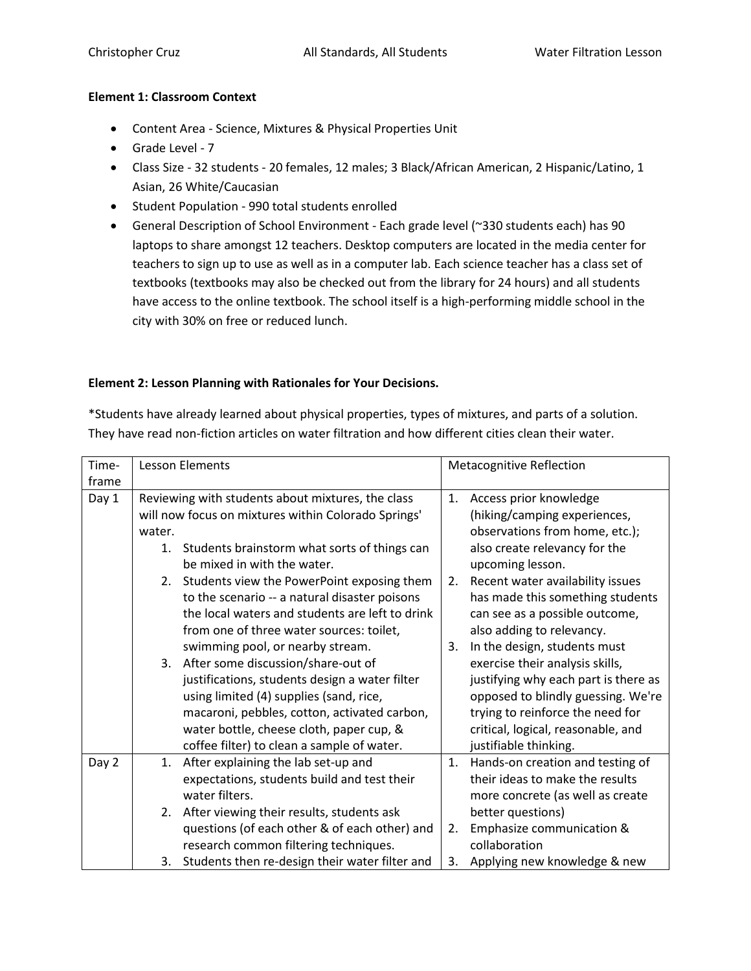#### **Element 1: Classroom Context**

- Content Area Science, Mixtures & Physical Properties Unit
- Grade Level 7
- Class Size 32 students 20 females, 12 males; 3 Black/African American, 2 Hispanic/Latino, 1 Asian, 26 White/Caucasian
- Student Population 990 total students enrolled
- General Description of School Environment Each grade level (~330 students each) has 90 laptops to share amongst 12 teachers. Desktop computers are located in the media center for teachers to sign up to use as well as in a computer lab. Each science teacher has a class set of textbooks (textbooks may also be checked out from the library for 24 hours) and all students have access to the online textbook. The school itself is a high-performing middle school in the city with 30% on free or reduced lunch.

### **Element 2: Lesson Planning with Rationales for Your Decisions.**

\*Students have already learned about physical properties, types of mixtures, and parts of a solution. They have read non-fiction articles on water filtration and how different cities clean their water.

| Time- | <b>Lesson Elements</b>                              |                                                 | <b>Metacognitive Reflection</b> |                                      |
|-------|-----------------------------------------------------|-------------------------------------------------|---------------------------------|--------------------------------------|
| frame |                                                     |                                                 |                                 |                                      |
| Day 1 | Reviewing with students about mixtures, the class   |                                                 | 1.                              | Access prior knowledge               |
|       | will now focus on mixtures within Colorado Springs' |                                                 |                                 | (hiking/camping experiences,         |
|       | water.                                              |                                                 |                                 | observations from home, etc.);       |
|       | 1.                                                  | Students brainstorm what sorts of things can    |                                 | also create relevancy for the        |
|       |                                                     | be mixed in with the water.                     |                                 | upcoming lesson.                     |
|       | 2.                                                  | Students view the PowerPoint exposing them      | 2.                              | Recent water availability issues     |
|       |                                                     | to the scenario -- a natural disaster poisons   |                                 | has made this something students     |
|       |                                                     | the local waters and students are left to drink |                                 | can see as a possible outcome,       |
|       |                                                     | from one of three water sources: toilet,        |                                 | also adding to relevancy.            |
|       |                                                     | swimming pool, or nearby stream.                | 3.                              | In the design, students must         |
|       | 3.                                                  | After some discussion/share-out of              |                                 | exercise their analysis skills,      |
|       |                                                     | justifications, students design a water filter  |                                 | justifying why each part is there as |
|       |                                                     | using limited (4) supplies (sand, rice,         |                                 | opposed to blindly guessing. We're   |
|       |                                                     | macaroni, pebbles, cotton, activated carbon,    |                                 | trying to reinforce the need for     |
|       |                                                     | water bottle, cheese cloth, paper cup, &        |                                 | critical, logical, reasonable, and   |
|       |                                                     | coffee filter) to clean a sample of water.      |                                 | justifiable thinking.                |
| Day 2 | 1.                                                  | After explaining the lab set-up and             |                                 | 1. Hands-on creation and testing of  |
|       |                                                     | expectations, students build and test their     |                                 | their ideas to make the results      |
|       |                                                     | water filters.                                  |                                 | more concrete (as well as create     |
|       | 2.                                                  | After viewing their results, students ask       |                                 | better questions)                    |
|       |                                                     | questions (of each other & of each other) and   | 2.                              | Emphasize communication &            |
|       |                                                     | research common filtering techniques.           |                                 | collaboration                        |
|       | 3.                                                  | Students then re-design their water filter and  | 3.                              | Applying new knowledge & new         |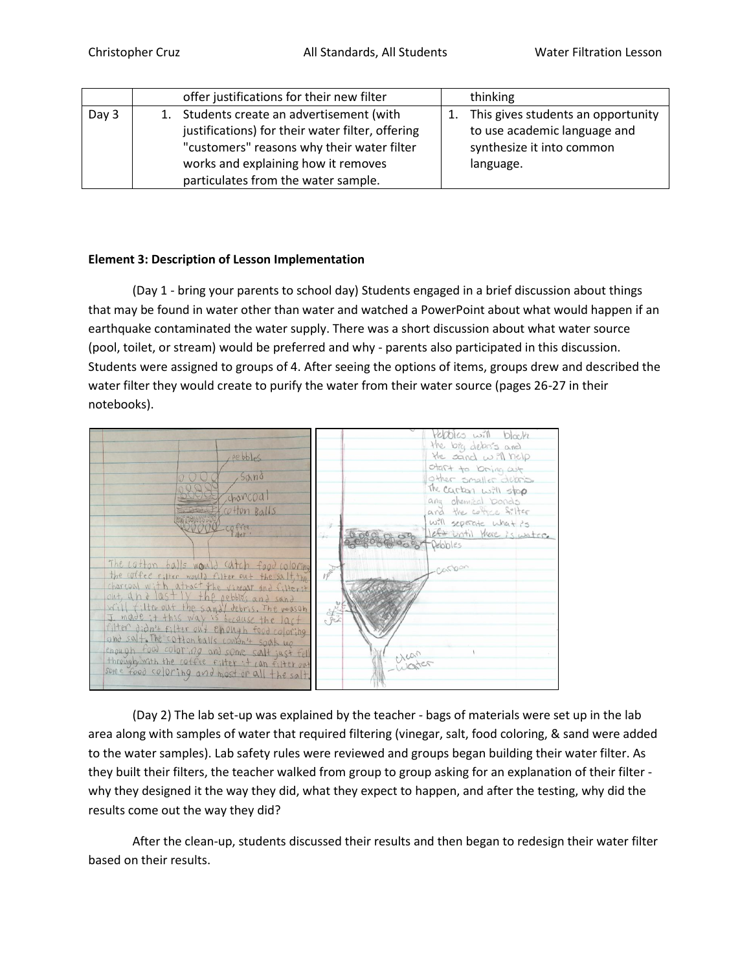|       | offer justifications for their new filter        | thinking                              |
|-------|--------------------------------------------------|---------------------------------------|
| Day 3 | Students create an advertisement (with           | 1. This gives students an opportunity |
|       | justifications) for their water filter, offering | to use academic language and          |
|       | "customers" reasons why their water filter       | synthesize it into common             |
|       | works and explaining how it removes              | language.                             |
|       | particulates from the water sample.              |                                       |

## **Element 3: Description of Lesson Implementation**

(Day 1 - bring your parents to school day) Students engaged in a brief discussion about things that may be found in water other than water and watched a PowerPoint about what would happen if an earthquake contaminated the water supply. There was a short discussion about what water source (pool, toilet, or stream) would be preferred and why - parents also participated in this discussion. Students were assigned to groups of 4. After seeing the options of items, groups drew and described the water filter they would create to purify the water from their water source (pages 26-27 in their notebooks).



(Day 2) The lab set-up was explained by the teacher - bags of materials were set up in the lab area along with samples of water that required filtering (vinegar, salt, food coloring, & sand were added to the water samples). Lab safety rules were reviewed and groups began building their water filter. As they built their filters, the teacher walked from group to group asking for an explanation of their filter why they designed it the way they did, what they expect to happen, and after the testing, why did the results come out the way they did?

After the clean-up, students discussed their results and then began to redesign their water filter based on their results.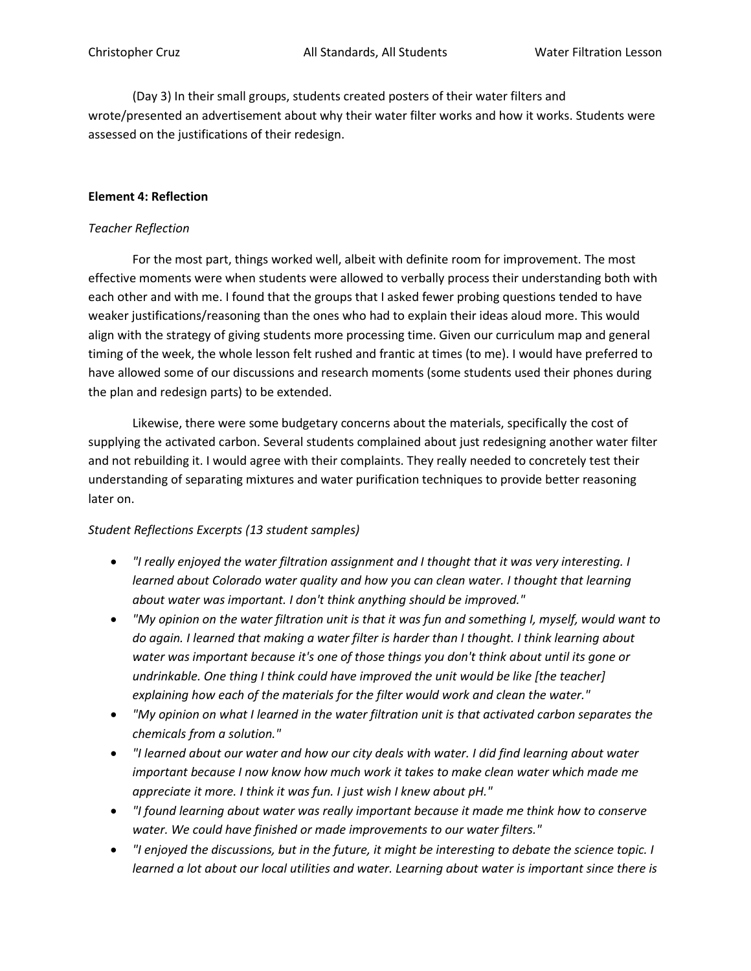(Day 3) In their small groups, students created posters of their water filters and wrote/presented an advertisement about why their water filter works and how it works. Students were assessed on the justifications of their redesign.

## **Element 4: Reflection**

### *Teacher Reflection*

For the most part, things worked well, albeit with definite room for improvement. The most effective moments were when students were allowed to verbally process their understanding both with each other and with me. I found that the groups that I asked fewer probing questions tended to have weaker justifications/reasoning than the ones who had to explain their ideas aloud more. This would align with the strategy of giving students more processing time. Given our curriculum map and general timing of the week, the whole lesson felt rushed and frantic at times (to me). I would have preferred to have allowed some of our discussions and research moments (some students used their phones during the plan and redesign parts) to be extended.

Likewise, there were some budgetary concerns about the materials, specifically the cost of supplying the activated carbon. Several students complained about just redesigning another water filter and not rebuilding it. I would agree with their complaints. They really needed to concretely test their understanding of separating mixtures and water purification techniques to provide better reasoning later on.

# *Student Reflections Excerpts (13 student samples)*

- *"I really enjoyed the water filtration assignment and I thought that it was very interesting. I learned about Colorado water quality and how you can clean water. I thought that learning about water was important. I don't think anything should be improved."*
- *"My opinion on the water filtration unit is that it was fun and something I, myself, would want to do again. I learned that making a water filter is harder than I thought. I think learning about water was important because it's one of those things you don't think about until its gone or undrinkable. One thing I think could have improved the unit would be like [the teacher] explaining how each of the materials for the filter would work and clean the water."*
- *"My opinion on what I learned in the water filtration unit is that activated carbon separates the chemicals from a solution."*
- *"I learned about our water and how our city deals with water. I did find learning about water important because I now know how much work it takes to make clean water which made me appreciate it more. I think it was fun. I just wish I knew about pH."*
- *"I found learning about water was really important because it made me think how to conserve water. We could have finished or made improvements to our water filters."*
- *"I enjoyed the discussions, but in the future, it might be interesting to debate the science topic. I learned a lot about our local utilities and water. Learning about water is important since there is*